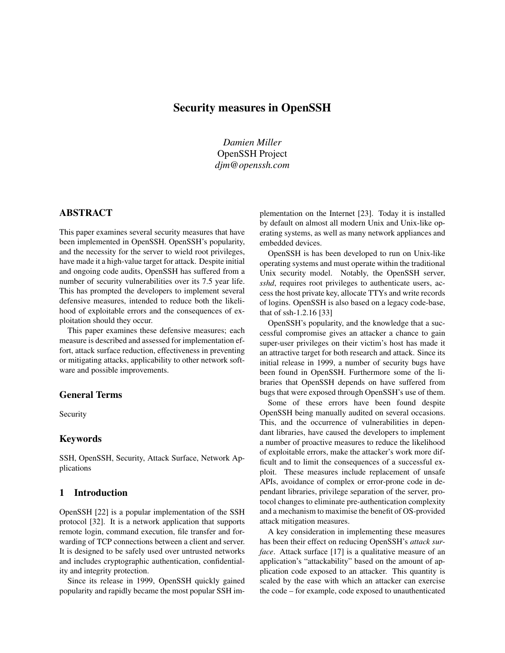# Security measures in OpenSSH

*Damien Miller* OpenSSH Project *djm@openssh.com*

# ABSTRACT

This paper examines several security measures that have been implemented in OpenSSH. OpenSSH's popularity, and the necessity for the server to wield root privileges, have made it a high-value target for attack. Despite initial and ongoing code audits, OpenSSH has suffered from a number of security vulnerabilities over its 7.5 year life. This has prompted the developers to implement several defensive measures, intended to reduce both the likelihood of exploitable errors and the consequences of exploitation should they occur.

This paper examines these defensive measures; each measure is described and assessed for implementation effort, attack surface reduction, effectiveness in preventing or mitigating attacks, applicability to other network software and possible improvements.

### General Terms

Security

#### Keywords

SSH, OpenSSH, Security, Attack Surface, Network Applications

### 1 Introduction

OpenSSH [22] is a popular implementation of the SSH protocol [32]. It is a network application that supports remote login, command execution, file transfer and forwarding of TCP connections between a client and server. It is designed to be safely used over untrusted networks and includes cryptographic authentication, confidentiality and integrity protection.

Since its release in 1999, OpenSSH quickly gained popularity and rapidly became the most popular SSH implementation on the Internet [23]. Today it is installed by default on almost all modern Unix and Unix-like operating systems, as well as many network appliances and embedded devices.

OpenSSH is has been developed to run on Unix-like operating systems and must operate within the traditional Unix security model. Notably, the OpenSSH server, *sshd*, requires root privileges to authenticate users, access the host private key, allocate TTYs and write records of logins. OpenSSH is also based on a legacy code-base, that of ssh-1.2.16 [33]

OpenSSH's popularity, and the knowledge that a successful compromise gives an attacker a chance to gain super-user privileges on their victim's host has made it an attractive target for both research and attack. Since its initial release in 1999, a number of security bugs have been found in OpenSSH. Furthermore some of the libraries that OpenSSH depends on have suffered from bugs that were exposed through OpenSSH's use of them.

Some of these errors have been found despite OpenSSH being manually audited on several occasions. This, and the occurrence of vulnerabilities in dependant libraries, have caused the developers to implement a number of proactive measures to reduce the likelihood of exploitable errors, make the attacker's work more difficult and to limit the consequences of a successful exploit. These measures include replacement of unsafe APIs, avoidance of complex or error-prone code in dependant libraries, privilege separation of the server, protocol changes to eliminate pre-authentication complexity and a mechanism to maximise the benefit of OS-provided attack mitigation measures.

A key consideration in implementing these measures has been their effect on reducing OpenSSH's *attack surface*. Attack surface [17] is a qualitative measure of an application's "attackability" based on the amount of application code exposed to an attacker. This quantity is scaled by the ease with which an attacker can exercise the code – for example, code exposed to unauthenticated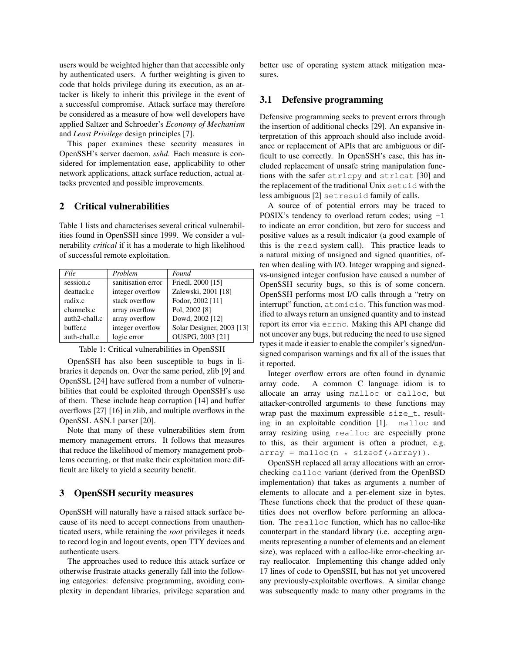users would be weighted higher than that accessible only by authenticated users. A further weighting is given to code that holds privilege during its execution, as an attacker is likely to inherit this privilege in the event of a successful compromise. Attack surface may therefore be considered as a measure of how well developers have applied Saltzer and Schroeder's *Economy of Mechanism* and *Least Privilege* design principles [7].

This paper examines these security measures in OpenSSH's server daemon, *sshd*. Each measure is considered for implementation ease, applicability to other network applications, attack surface reduction, actual attacks prevented and possible improvements.

#### 2 Critical vulnerabilities

Table 1 lists and characterises several critical vulnerabilities found in OpenSSH since 1999. We consider a vulnerability *critical* if it has a moderate to high likelihood of successful remote exploitation.

| File          | Problem            | Found                     |
|---------------|--------------------|---------------------------|
| session.c     | sanitisation error | Friedl, 2000 [15]         |
| deattack.c    | integer overflow   | Zalewski, 2001 [18]       |
| radix.c       | stack overflow     | Fodor, 2002 [11]          |
| channels.c    | array overflow     | Pol, 2002 [8]             |
| auth2-chall.c | array overflow     | Dowd, 2002 [12]           |
| buffer.c      | integer overflow   | Solar Designer, 2003 [13] |
| auth-chall.c  | logic error        | OUSPG, 2003 [21]          |

| Table 1: Critical vulnerabilities in OpenSSH |  |  |  |
|----------------------------------------------|--|--|--|
|----------------------------------------------|--|--|--|

OpenSSH has also been susceptible to bugs in libraries it depends on. Over the same period, zlib [9] and OpenSSL [24] have suffered from a number of vulnerabilities that could be exploited through OpenSSH's use of them. These include heap corruption [14] and buffer overflows [27] [16] in zlib, and multiple overflows in the OpenSSL ASN.1 parser [20].

Note that many of these vulnerabilities stem from memory management errors. It follows that measures that reduce the likelihood of memory management problems occurring, or that make their exploitation more difficult are likely to yield a security benefit.

#### 3 OpenSSH security measures

OpenSSH will naturally have a raised attack surface because of its need to accept connections from unauthenticated users, while retaining the *root* privileges it needs to record login and logout events, open TTY devices and authenticate users.

The approaches used to reduce this attack surface or otherwise frustrate attacks generally fall into the following categories: defensive programming, avoiding complexity in dependant libraries, privilege separation and better use of operating system attack mitigation measures.

# 3.1 Defensive programming

Defensive programming seeks to prevent errors through the insertion of additional checks [29]. An expansive interpretation of this approach should also include avoidance or replacement of APIs that are ambiguous or difficult to use correctly. In OpenSSH's case, this has included replacement of unsafe string manipulation functions with the safer strlcpy and strlcat [30] and the replacement of the traditional Unix setuid with the less ambiguous [2] setresuid family of calls.

A source of of potential errors may be traced to POSIX's tendency to overload return codes; using  $-1$ to indicate an error condition, but zero for success and positive values as a result indicator (a good example of this is the read system call). This practice leads to a natural mixing of unsigned and signed quantities, often when dealing with I/O. Integer wrapping and signedvs-unsigned integer confusion have caused a number of OpenSSH security bugs, so this is of some concern. OpenSSH performs most I/O calls through a "retry on interrupt" function, atomicio. This function was modified to always return an unsigned quantity and to instead report its error via errno. Making this API change did not uncover any bugs, but reducing the need to use signed types it made it easier to enable the compiler's signed/unsigned comparison warnings and fix all of the issues that it reported.

Integer overflow errors are often found in dynamic array code. A common C language idiom is to allocate an array using malloc or calloc, but attacker-controlled arguments to these functions may wrap past the maximum expressible size\_t, resulting in an exploitable condition [1]. malloc and array resizing using realloc are especially prone to this, as their argument is often a product, e.g.  $array = malloc(n * sizeof(*array)).$ 

OpenSSH replaced all array allocations with an errorchecking calloc variant (derived from the OpenBSD implementation) that takes as arguments a number of elements to allocate and a per-element size in bytes. These functions check that the product of these quantities does not overflow before performing an allocation. The realloc function, which has no calloc-like counterpart in the standard library (i.e. accepting arguments representing a number of elements and an element size), was replaced with a calloc-like error-checking array reallocator. Implementing this change added only 17 lines of code to OpenSSH, but has not yet uncovered any previously-exploitable overflows. A similar change was subsequently made to many other programs in the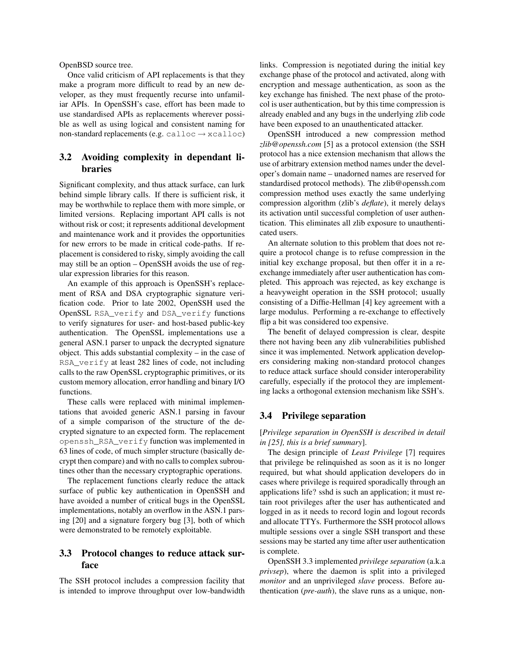OpenBSD source tree.

Once valid criticism of API replacements is that they make a program more difficult to read by an new developer, as they must frequently recurse into unfamiliar APIs. In OpenSSH's case, effort has been made to use standardised APIs as replacements wherever possible as well as using logical and consistent naming for non-standard replacements (e.g. calloc  $\rightarrow$  xcalloc)

### 3.2 Avoiding complexity in dependant libraries

Significant complexity, and thus attack surface, can lurk behind simple library calls. If there is sufficient risk, it may be worthwhile to replace them with more simple, or limited versions. Replacing important API calls is not without risk or cost; it represents additional development and maintenance work and it provides the opportunities for new errors to be made in critical code-paths. If replacement is considered to risky, simply avoiding the call may still be an option – OpenSSH avoids the use of regular expression libraries for this reason.

An example of this approach is OpenSSH's replacement of RSA and DSA cryptographic signature verification code. Prior to late 2002, OpenSSH used the OpenSSL RSA\_verify and DSA\_verify functions to verify signatures for user- and host-based public-key authentication. The OpenSSL implementations use a general ASN.1 parser to unpack the decrypted signature object. This adds substantial complexity – in the case of RSA\_verify at least 282 lines of code, not including calls to the raw OpenSSL cryptographic primitives, or its custom memory allocation, error handling and binary I/O functions.

These calls were replaced with minimal implementations that avoided generic ASN.1 parsing in favour of a simple comparison of the structure of the decrypted signature to an expected form. The replacement openssh\_RSA\_verify function was implemented in 63 lines of code, of much simpler structure (basically decrypt then compare) and with no calls to complex subroutines other than the necessary cryptographic operations.

The replacement functions clearly reduce the attack surface of public key authentication in OpenSSH and have avoided a number of critical bugs in the OpenSSL implementations, notably an overflow in the ASN.1 parsing [20] and a signature forgery bug [3], both of which were demonstrated to be remotely exploitable.

# 3.3 Protocol changes to reduce attack surface

The SSH protocol includes a compression facility that is intended to improve throughput over low-bandwidth links. Compression is negotiated during the initial key exchange phase of the protocol and activated, along with encryption and message authentication, as soon as the key exchange has finished. The next phase of the protocol is user authentication, but by this time compression is already enabled and any bugs in the underlying zlib code have been exposed to an unauthenticated attacker.

OpenSSH introduced a new compression method *zlib@openssh.com* [5] as a protocol extension (the SSH protocol has a nice extension mechanism that allows the use of arbitrary extension method names under the developer's domain name – unadorned names are reserved for standardised protocol methods). The zlib@openssh.com compression method uses exactly the same underlying compression algorithm (zlib's *deflate*), it merely delays its activation until successful completion of user authentication. This eliminates all zlib exposure to unauthenticated users.

An alternate solution to this problem that does not require a protocol change is to refuse compression in the initial key exchange proposal, but then offer it in a reexchange immediately after user authentication has completed. This approach was rejected, as key exchange is a heavyweight operation in the SSH protocol; usually consisting of a Diffie-Hellman [4] key agreement with a large modulus. Performing a re-exchange to effectively flip a bit was considered too expensive.

The benefit of delayed compression is clear, despite there not having been any zlib vulnerabilities published since it was implemented. Network application developers considering making non-standard protocol changes to reduce attack surface should consider interoperability carefully, especially if the protocol they are implementing lacks a orthogonal extension mechanism like SSH's.

### 3.4 Privilege separation

[*Privilege separation in OpenSSH is described in detail in [25], this is a brief summary*].

The design principle of *Least Privilege* [7] requires that privilege be relinquished as soon as it is no longer required, but what should application developers do in cases where privilege is required sporadically through an applications life? sshd is such an application; it must retain root privileges after the user has authenticated and logged in as it needs to record login and logout records and allocate TTYs. Furthermore the SSH protocol allows multiple sessions over a single SSH transport and these sessions may be started any time after user authentication is complete.

OpenSSH 3.3 implemented *privilege separation* (a.k.a *privsep*), where the daemon is split into a privileged *monitor* and an unprivileged *slave* process. Before authentication (*pre-auth*), the slave runs as a unique, non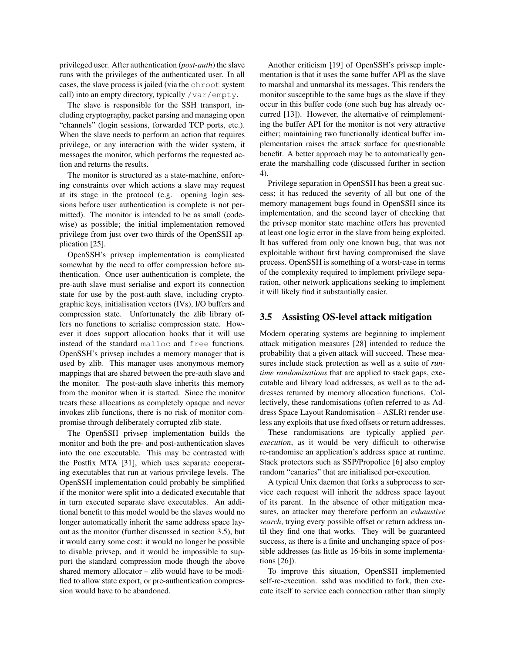privileged user. After authentication (*post-auth*) the slave runs with the privileges of the authenticated user. In all cases, the slave process is jailed (via the chroot system call) into an empty directory, typically /var/empty.

The slave is responsible for the SSH transport, including cryptography, packet parsing and managing open "channels" (login sessions, forwarded TCP ports, etc.). When the slave needs to perform an action that requires privilege, or any interaction with the wider system, it messages the monitor, which performs the requested action and returns the results.

The monitor is structured as a state-machine, enforcing constraints over which actions a slave may request at its stage in the protocol (e.g. opening login sessions before user authentication is complete is not permitted). The monitor is intended to be as small (codewise) as possible; the initial implementation removed privilege from just over two thirds of the OpenSSH application [25].

OpenSSH's privsep implementation is complicated somewhat by the need to offer compression before authentication. Once user authentication is complete, the pre-auth slave must serialise and export its connection state for use by the post-auth slave, including cryptographic keys, initialisation vectors (IVs), I/O buffers and compression state. Unfortunately the zlib library offers no functions to serialise compression state. However it does support allocation hooks that it will use instead of the standard malloc and free functions. OpenSSH's privsep includes a memory manager that is used by zlib. This manager uses anonymous memory mappings that are shared between the pre-auth slave and the monitor. The post-auth slave inherits this memory from the monitor when it is started. Since the monitor treats these allocations as completely opaque and never invokes zlib functions, there is no risk of monitor compromise through deliberately corrupted zlib state.

The OpenSSH privsep implementation builds the monitor and both the pre- and post-authentication slaves into the one executable. This may be contrasted with the Postfix MTA [31], which uses separate cooperating executables that run at various privilege levels. The OpenSSH implementation could probably be simplified if the monitor were split into a dedicated executable that in turn executed separate slave executables. An additional benefit to this model would be the slaves would no longer automatically inherit the same address space layout as the monitor (further discussed in section 3.5), but it would carry some cost: it would no longer be possible to disable privsep, and it would be impossible to support the standard compression mode though the above shared memory allocator – zlib would have to be modified to allow state export, or pre-authentication compression would have to be abandoned.

Another criticism [19] of OpenSSH's privsep implementation is that it uses the same buffer API as the slave to marshal and unmarshal its messages. This renders the monitor susceptible to the same bugs as the slave if they occur in this buffer code (one such bug has already occurred [13]). However, the alternative of reimplementing the buffer API for the monitor is not very attractive either; maintaining two functionally identical buffer implementation raises the attack surface for questionable benefit. A better approach may be to automatically generate the marshalling code (discussed further in section 4).

Privilege separation in OpenSSH has been a great success; it has reduced the severity of all but one of the memory management bugs found in OpenSSH since its implementation, and the second layer of checking that the privsep monitor state machine offers has prevented at least one logic error in the slave from being exploited. It has suffered from only one known bug, that was not exploitable without first having compromised the slave process. OpenSSH is something of a worst-case in terms of the complexity required to implement privilege separation, other network applications seeking to implement it will likely find it substantially easier.

#### 3.5 Assisting OS-level attack mitigation

Modern operating systems are beginning to implement attack mitigation measures [28] intended to reduce the probability that a given attack will succeed. These measures include stack protection as well as a suite of *runtime randomisations* that are applied to stack gaps, executable and library load addresses, as well as to the addresses returned by memory allocation functions. Collectively, these randomisations (often referred to as Address Space Layout Randomisation – ASLR) render useless any exploits that use fixed offsets or return addresses.

These randomisations are typically applied *perexecution*, as it would be very difficult to otherwise re-randomise an application's address space at runtime. Stack protectors such as SSP/Propolice [6] also employ random "canaries" that are initialised per-execution.

A typical Unix daemon that forks a subprocess to service each request will inherit the address space layout of its parent. In the absence of other mitigation measures, an attacker may therefore perform an *exhaustive search*, trying every possible offset or return address until they find one that works. They will be guaranteed success, as there is a finite and unchanging space of possible addresses (as little as 16-bits in some implementations [26]).

To improve this situation, OpenSSH implemented self-re-execution. sshd was modified to fork, then execute itself to service each connection rather than simply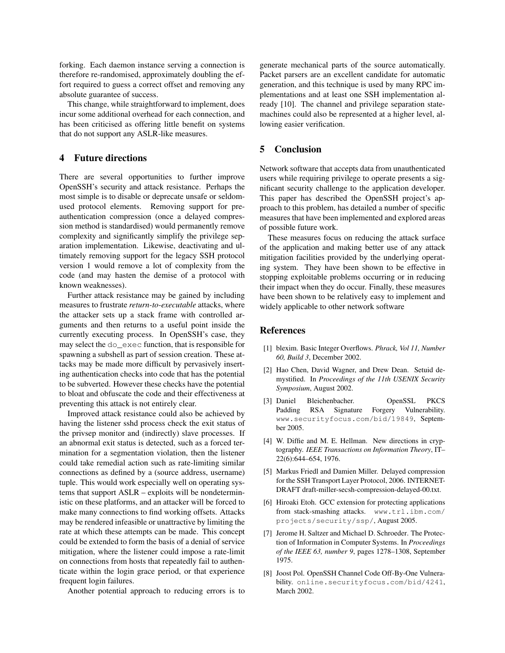forking. Each daemon instance serving a connection is therefore re-randomised, approximately doubling the effort required to guess a correct offset and removing any absolute guarantee of success.

This change, while straightforward to implement, does incur some additional overhead for each connection, and has been criticised as offering little benefit on systems that do not support any ASLR-like measures.

### 4 Future directions

There are several opportunities to further improve OpenSSH's security and attack resistance. Perhaps the most simple is to disable or deprecate unsafe or seldomused protocol elements. Removing support for preauthentication compression (once a delayed compression method is standardised) would permanently remove complexity and significantly simplify the privilege separation implementation. Likewise, deactivating and ultimately removing support for the legacy SSH protocol version 1 would remove a lot of complexity from the code (and may hasten the demise of a protocol with known weaknesses).

Further attack resistance may be gained by including measures to frustrate *return-to-executable* attacks, where the attacker sets up a stack frame with controlled arguments and then returns to a useful point inside the currently executing process. In OpenSSH's case, they may select the do\_exec function, that is responsible for spawning a subshell as part of session creation. These attacks may be made more difficult by pervasively inserting authentication checks into code that has the potential to be subverted. However these checks have the potential to bloat and obfuscate the code and their effectiveness at preventing this attack is not entirely clear.

Improved attack resistance could also be achieved by having the listener sshd process check the exit status of the privsep monitor and (indirectly) slave processes. If an abnormal exit status is detected, such as a forced termination for a segmentation violation, then the listener could take remedial action such as rate-limiting similar connections as defined by a (source address, username) tuple. This would work especially well on operating systems that support ASLR – exploits will be nondeterministic on these platforms, and an attacker will be forced to make many connections to find working offsets. Attacks may be rendered infeasible or unattractive by limiting the rate at which these attempts can be made. This concept could be extended to form the basis of a denial of service mitigation, where the listener could impose a rate-limit on connections from hosts that repeatedly fail to authenticate within the login grace period, or that experience frequent login failures.

Another potential approach to reducing errors is to

generate mechanical parts of the source automatically. Packet parsers are an excellent candidate for automatic generation, and this technique is used by many RPC implementations and at least one SSH implementation already [10]. The channel and privilege separation statemachines could also be represented at a higher level, allowing easier verification.

# 5 Conclusion

Network software that accepts data from unauthenticated users while requiring privilege to operate presents a significant security challenge to the application developer. This paper has described the OpenSSH project's approach to this problem, has detailed a number of specific measures that have been implemented and explored areas of possible future work.

These measures focus on reducing the attack surface of the application and making better use of any attack mitigation facilities provided by the underlying operating system. They have been shown to be effective in stopping exploitable problems occurring or in reducing their impact when they do occur. Finally, these measures have been shown to be relatively easy to implement and widely applicable to other network software

#### References

- [1] blexim. Basic Integer Overflows. *Phrack, Vol 11, Number 60, Build 3*, December 2002.
- [2] Hao Chen, David Wagner, and Drew Dean. Setuid demystified. In *Proceedings of the 11th USENIX Security Symposium*, August 2002.
- [3] Daniel Bleichenbacher. OpenSSL PKCS Padding RSA Signature Forgery Vulnerability. www.securityfocus.com/bid/19849, September 2005.
- [4] W. Diffie and M. E. Hellman. New directions in cryptography. *IEEE Transactions on Information Theory*, IT– 22(6):644–654, 1976.
- [5] Markus Friedl and Damien Miller. Delayed compression for the SSH Transport Layer Protocol, 2006. INTERNET-DRAFT draft-miller-secsh-compression-delayed-00.txt.
- [6] Hiroaki Etoh. GCC extension for protecting applications from stack-smashing attacks. www.trl.ibm.com/ projects/security/ssp/, August 2005.
- [7] Jerome H. Saltzer and Michael D. Schroeder. The Protection of Information in Computer Systems. In *Proceedings of the IEEE 63, number 9*, pages 1278–1308, September 1975.
- [8] Joost Pol. OpenSSH Channel Code Off-By-One Vulnerability. online.securityfocus.com/bid/4241, March 2002.